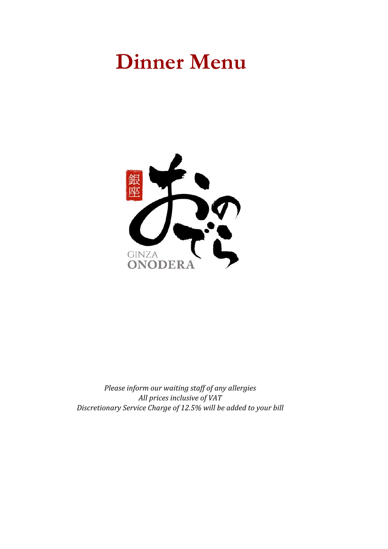# **Dinner Menu**



*Please inform our waiting staff of any allergies All prices inclusive of VAT Discretionary Service Charge of 12.5% will be added to your bill*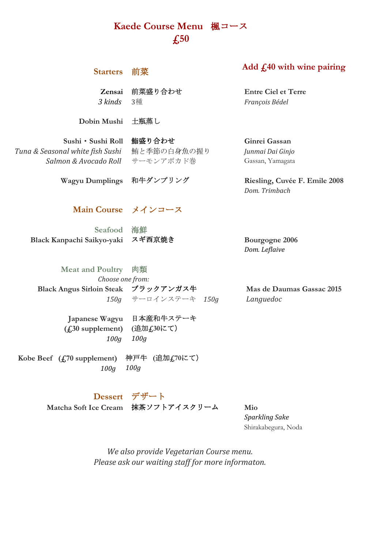# **Kaede Course Menu** 楓コース **£50**

| <b>Starters</b>                                                                 | 前菜                                 | Add $f140$ with wine pairing                          |
|---------------------------------------------------------------------------------|------------------------------------|-------------------------------------------------------|
| Zensai<br>3 kinds                                                               | 前菜盛り合わせ<br>3種                      | <b>Entre Ciel et Terre</b><br>François Bédel          |
| Dobin Mushi                                                                     | 土瓶蒸し                               |                                                       |
| Sushi • Sushi Roll<br>Tuna & Seasonal white fish Sushi<br>Salmon & Avocado Roll | 鮨盛り合わせ<br>鮪と季節の白身魚の握り<br>サーモンアボカド巻 | Ginrei Gassan<br>Junmai Dai Ginjo<br>Gassan, Yamagata |
| <b>Wagyu Dumplings</b>                                                          | 和牛ダンプリング                           | Riesling, Cuvée F. Emile 2008<br>Dom. Trimbach        |
| Main Course メインコース                                                              |                                    |                                                       |
| <b>Seafood 海鮮</b>                                                               |                                    |                                                       |
| Black Kanpachi Saikyo-yaki                                                      | スギ西京焼き                             | Bourgogne 2006<br>Dom. Leflaive                       |
| <b>Meat and Poultry</b>                                                         | 肉類                                 |                                                       |
| Choose one from:                                                                |                                    |                                                       |
| Black Angus Sirloin Steak ブラックアンガス牛                                             |                                    | Mas de Daumas Gassac 2015                             |
| 150g                                                                            | サーロインステーキ 150g                     | Languedoc                                             |
| Japanese Wagyu<br>(f <sub>1</sub> 30 supplement)<br>100q                        | 日本産和牛ステーキ<br>(追加f30にて)<br>100q     |                                                       |
| Kobe Beef $(f1, 70$ supplement)<br>100q                                         | 神戸牛 (追加 <i>£</i> ,70にて)<br>100q    |                                                       |

# **Dessert** デザート

**Matcha Soft Ice Cream** 抹茶ソフトアイスクリーム **Mio**

*Sparkling Sake* Shirakabegura, Noda

*We also provide Vegetarian Course menu. Please ask our waiting staff for more informaton.*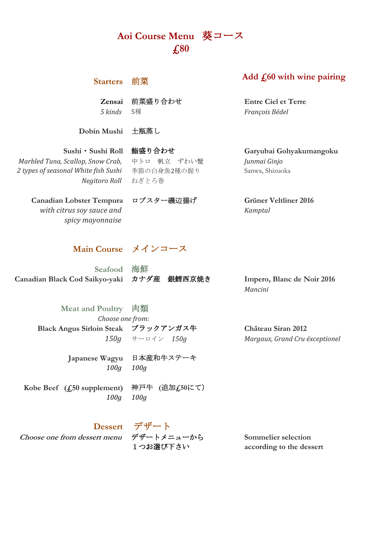# **Aoi Course Menu** 葵コース **£80**

#### **Starters** 前菜

**Zensai** 前菜盛り合わせ **Entre Ciel et Terre** *5 kinds* 5種 *François Bédel*

**Dobin Mushi** 土瓶蒸し

*Negitoro Roll* ねぎとろ巻 *Marbled Tuna, Scallop, Snow Crab, 2 types of seasonal White fish Sushi*

中トロ 帆立 ずわい蟹 *Junmai Ginjo* 季節の白身魚2種の握り Sanwa, Shizuoka

**Canadian Lobster Tempura** ロブスター磯辺揚げ **Grüner Veltliner 2016** *with citrus soy sauce and spicy mayonnaise*

#### **Main Course** メインコース

**Canadian Black Cod Saikyo-yaki** カナダ産 銀鱈西京焼き **Impero, Blanc de Noir 2016 Seafood** 海鮮

*Mancini*

**Black Angus Sirloin Steak** ブラックアンガス牛 **Château Siran 2012** *150g* サーロイン *150g Margaux, Grand Cru éxceptionel*

**Japanese Wagyu** 日本産和牛ステーキ *100g 100g*

*Choose one from:*

**Meat and Poultry** 肉類

**Kobe Beef (£50 supplement)** 神戸牛 **(**追加**£50**にて) *100g 100g*

**Dessert** デザート

**Choose one from dessert menu** デザートメニューから **Sommelier selection**

1つお選び下さい **according to the dessert**

*Kamptal*

**Sushi**・**Sushi Roll** 鮨盛り合わせ **Garyubai Gohyakumangoku**

# **Add £60 with wine pairing**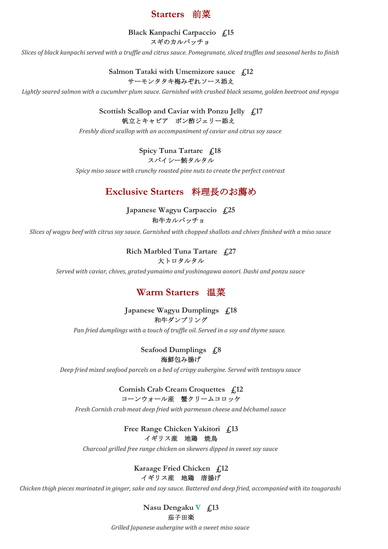

**Black Kanpachi Carpaccio £15** スギのカルパッチョ

*Slices of black kanpachi served with a truffle and citrus sauce. Pomegranate, sliced truffles and seasonal herbs to finish*

**Salmon Tataki with Umemizore sauce £12** サーモンタタキ梅みぞれソース添え

*Lightly seared salmon with a cucumber plum sauce. Garnished with crushed black sesame, golden beetroot and myoga*

**Scottish Scallop and Caviar with Ponzu Jelly £17** 帆立とキャビア ポン酢ジェリー添え

*Freshly diced scallop with an accompaniment of caviar and citrus soy sauce*

スパイシー鮪タルタル **Spicy Tuna Tartare £18** 

*Spicy miso sauce with crunchy roasted pine nuts to create the perfect contrast*

### **Exclusive Starters** 料理長のお薦め

**Japanese Wagyu Carpaccio £25** 和牛カルパッチョ

*Slices of wagyu beef with citrus soy sauce. Garnished with chopped shallots and chives finished with a miso sauce*

**Rich Marbled Tuna Tartare £27** 大トロタルタル

*Served with caviar, chives, grated yamaimo and yoshinogawa aonori. Dashi and ponzu sauce*

### **Warm Starters** 温菜

#### **Japanese Wagyu Dumplings £18** 和牛ダンプリング

*Pan fried dumplings with a touch of truffle oil. Served in a soy and thyme sauce.* 

**Seafood Dumplings £8** 海鮮包み揚げ

*Deep fried mixed seafood parcels on a bed of crispy aubergine. Served with tentsuyu sauce*

**Cornish Crab Cream Croquettes £12** コーンウォール産 蟹クリームコロッケ

*Fresh Cornish crab meat deep fried with parmesan cheese and béchamel sauce*

**Free Range Chicken Yakitori £13** イギリス産 地鶏 焼鳥

*Charcoal grilled free range chicken on skewers dipped in sweet soy sauce*

#### **Karaage Fried Chicken £12** イギリス産 地鶏 唐揚げ

*Chicken thigh pieces marinated in ginger, sake and soy sauce. Battered and deep fried, accompanied with ito tougarashi*

**Nasu Dengaku V £13** 茄子田楽

*Grilled Japanese aubergine with a sweet miso sauce*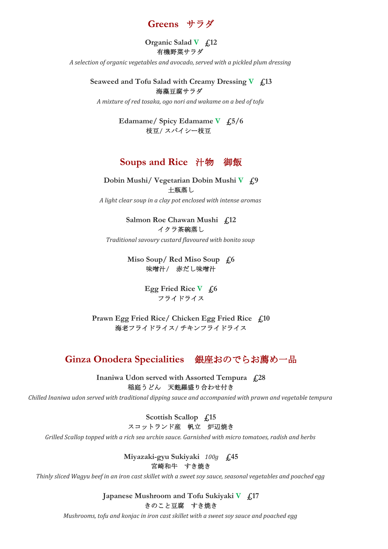# **Greens** サラダ

**Organic Salad V £12** 有機野菜サラダ

*A selection of organic vegetables and avocado, served with a pickled plum dressing*

**Seaweed and Tofu Salad with Creamy Dressing V £13** 海藻豆腐サラダ

*A mixture of red tosaka, ogo nori and wakame on a bed of tofu*

枝豆**/** スパイシー枝豆 **Edamame/ Spicy Edamame V £5/6**

#### **Soups and Rice** 汁物 御飯

**Dobin Mushi/ Vegetarian Dobin Mushi V £9** 土瓶蒸し

*A light clear soup in a clay pot enclosed with intense aromas*

**Salmon Roe Chawan Mushi £12** イクラ茶碗蒸し

*Traditional savoury custard flavoured with bonito soup*

**Miso Soup/ Red Miso Soup £6** 味噌汁**/** 赤だし味噌汁

> フライドライス **Egg Fried Rice V £6**

**Prawn Egg Fried Rice/ Chicken Egg Fried Rice £10** 海老フライドライス**/** チキンフライドライス

# **Ginza Onodera Specialities** 銀座おのでらお薦め一品

**Inaniwa Udon served with Assorted Tempura £28** 稲庭うどん 天麩羅盛り合わせ付き

*Chilled Inaniwa udon served with traditional dipping sauce and accompanied with prawn and vegetable tempura*

**Scottish Scallop £15** スコットランド産 帆立 炉辺焼き

*Grilled Scallop topped with a rich sea urchin sauce. Garnished with micro tomatoes, radish and herbs*

**Miyazaki-gyu Sukiyaki** *100g* **£45** 宮崎和牛 すき焼き

*Thinly sliced Wagyu beef in an iron cast skillet with a sweet soy sauce, seasonal vegetables and poached egg*

**Japanese Mushroom and Tofu Sukiyaki V £17** きのこと豆腐 すき焼き

*Mushrooms, tofu and konjac in iron cast skillet with a sweet soy sauce and poached egg*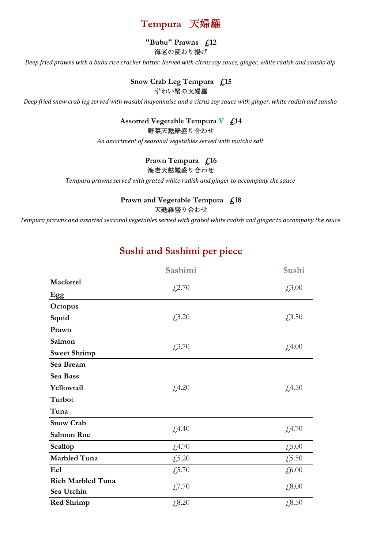

#### **"Bubu" Prawns £12** 海老の変わり揚げ

*Deep fried prawns with a bubu rice cracker batter. Served with citrus soy sauce, ginger, white radish and sansho dip*

#### **Snow Crab Leg Tempura £15** ずわい蟹の天婦羅

*Deep fried snow crab leg served with wasabi mayonnaise and a citrus soy sauce with ginger, white radish and sansho*

#### 野菜天麩羅盛り合わせ **Assorted Vegetable Tempura V £14**

*An assortment of seasonal vegetables served with matcha salt*

#### **Prawn Tempura £16** 海老天麩羅盛り合わせ

*Tempura prawns served with grated white radish and ginger to accompany the sauce*

#### **Prawn and Vegetable Tempura £18** 天麩羅盛り合わせ

*Tempura prawns and assorted seasonal vegetables served with grated white radish and ginger to accompany the sauce*

# **Sushi and Sashimi per piece**

|                          | Sashimi | Sushi  |
|--------------------------|---------|--------|
| Mackerel                 |         | £3.00  |
| <b>Egg</b>               | £2.70   |        |
| Octopus                  |         |        |
| Squid                    | £3.20   | £3.50  |
| Prawn                    |         |        |
| Salmon                   | £3.70   | £,4.00 |
| <b>Sweet Shrimp</b>      |         |        |
| Sea Bream                |         |        |
| Sea Bass                 |         |        |
| Yellowtail               | £4.20   | £,4.50 |
| Turbot                   |         |        |
| Tuna                     |         |        |
| <b>Snow Crab</b>         |         |        |
| Salmon Roe               | £,4.40  | £,4.70 |
| Scallop                  | £4.70   | £5.00  |
| <b>Marbled Tuna</b>      | £5.20   | £5.50  |
| Eel                      | £,5.70  | £6.00  |
| <b>Rich Marbled Tuna</b> |         | £,8.00 |
| Sea Urchin               | £7.70   |        |
| <b>Red Shrimp</b>        | £, 8.20 | £8.50  |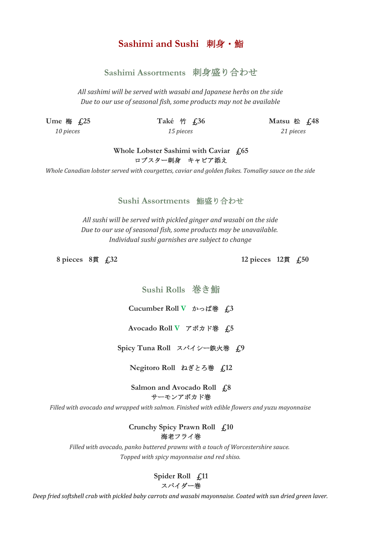## **Sashimi and Sushi** 刺身・鮨

### **Sashimi Assortments** 刺身盛り合わせ

*All sashimi will be served with wasabi and Japanese herbs on the side Due to our use of seasonal fish, some products may not be available*

*10 pieces 15 pieces 21 pieces*

**Ume** 梅 **£25 Také** 竹 **£36 Matsu** 松 **£48**

#### **Whole Lobster Sashimi with Caviar £65** ロブスター刺身 キャビア添え

*Whole Canadian lobster served with courgettes, caviar and golden flakes. Tomalley sauce on the side*

#### **Sushi Assortments** 鮨盛り合わせ

*Individual sushi garnishes are subject to change All sushi will be served with pickled ginger and wasabi on the side Due to our use of seasonal fish, some products may be unavailable.* 

**8 pieces 8**貫 **£32 12 pieces 12**貫 **£50**

**Sushi Rolls** 巻き鮨

**Cucumber Roll V** かっぱ巻 **£3**

**Avocado Roll V** アボカド巻 **£5**

**Spicy Tuna Roll** スパイシー鉄火巻 **£9**

**Negitoro Roll** ねぎとろ巻 **£12**

**Salmon and Avocado Roll £8** サーモンアボカド巻

*Filled with avocado and wrapped with salmon. Finished with edible flowers and yuzu mayonnaise*

**Crunchy Spicy Prawn Roll £10** 海老フライ巻

*Filled with avocado, panko buttered prawns with a touch of Worcestershire sauce. Topped with spicy mayonnaise and red shiso.*

> **Spider Roll £11** スパイダー巻

*Deep fried softshell crab with pickled baby carrots and wasabi mayonnaise. Coated with sun dried green laver.*